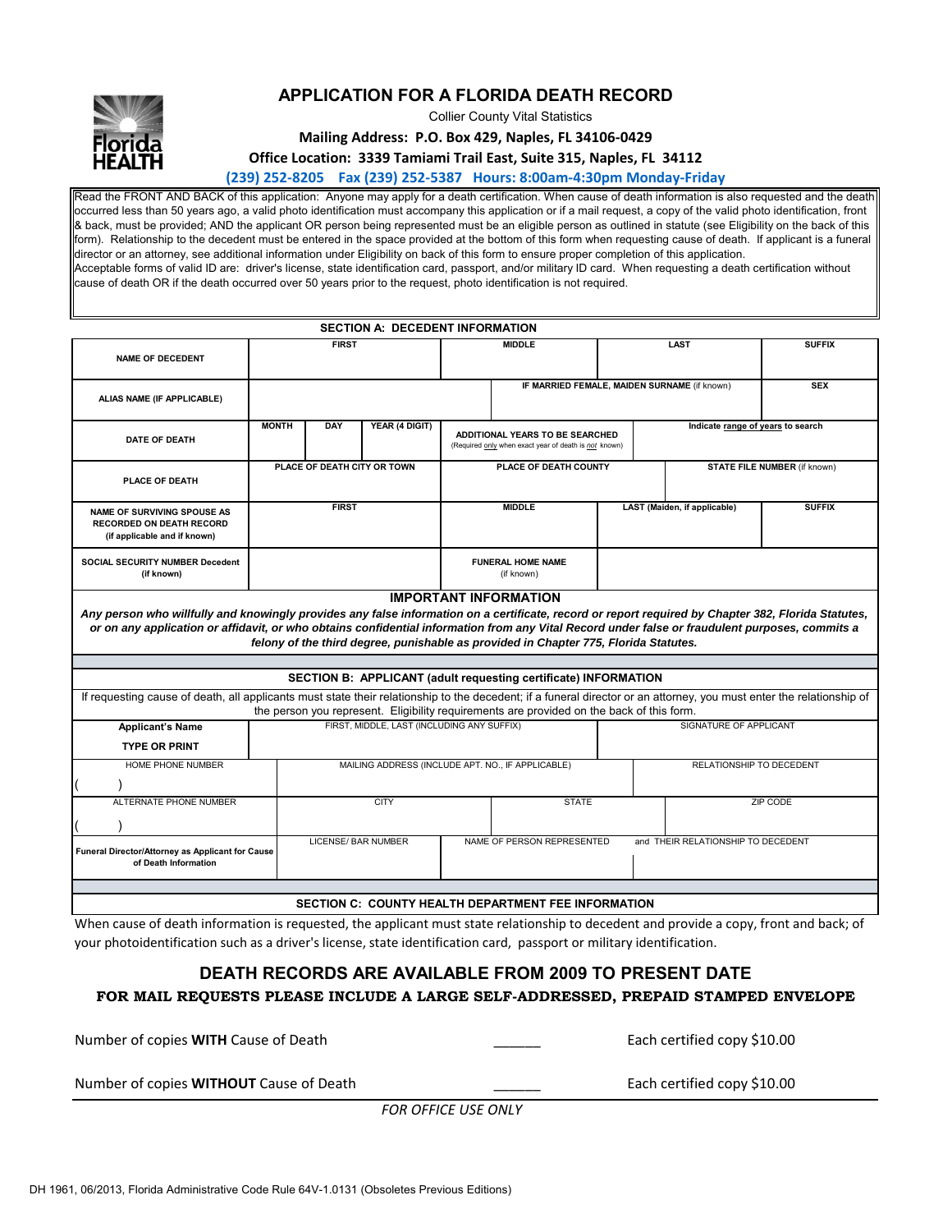

## **APPLICATION FOR A FLORIDA DEATH RECORD**

Collier County Vital Statistics

**Mailing Address: P.O. Box 429, Naples, FL 34106‐0429**

**Office Location: 3339 Tamiami Trail East, Suite 315, Naples, FL 34112**

**(239) 252‐8205 Fax (239) 252‐5387 Hours: 8:00am‐4:30pm Monday‐Friday**

Read the FRONT AND BACK of this application: Anyone may apply for a death certification. When cause of death information is also requested and the death occurred less than 50 years ago, a valid photo identification must accompany this application or if a mail request, a copy of the valid photo identification, front & back, must be provided; AND the applicant OR person being represented must be an eligible person as outlined in statute (see Eligibility on the back of this form). Relationship to the decedent must be entered in the space provided at the bottom of this form when requesting cause of death. If applicant is a funeral director or an attorney, see additional information under Eligibility on back of this form to ensure proper completion of this application. Acceptable forms of valid ID are: driver's license, state identification card, passport, and/or military ID card. When requesting a death certification without cause of death OR if the death occurred over 50 years prior to the request, photo identification is not required.

|                                                                                                                                                                                                                                                                                                                                                                                                                                |                             |     | <b>SECTION A: DECEDENT INFORMATION</b>     |  |                                                                                                                               |  |                                               |                                    |               |  |
|--------------------------------------------------------------------------------------------------------------------------------------------------------------------------------------------------------------------------------------------------------------------------------------------------------------------------------------------------------------------------------------------------------------------------------|-----------------------------|-----|--------------------------------------------|--|-------------------------------------------------------------------------------------------------------------------------------|--|-----------------------------------------------|------------------------------------|---------------|--|
| <b>NAME OF DECEDENT</b>                                                                                                                                                                                                                                                                                                                                                                                                        | <b>FIRST</b>                |     |                                            |  | <b>MIDDLE</b>                                                                                                                 |  | <b>LAST</b>                                   |                                    | <b>SUFFIX</b> |  |
| ALIAS NAME (IF APPLICABLE)                                                                                                                                                                                                                                                                                                                                                                                                     |                             |     |                                            |  | IF MARRIED FEMALE, MAIDEN SURNAME (if known)                                                                                  |  |                                               |                                    | <b>SEX</b>    |  |
| <b>DATE OF DEATH</b>                                                                                                                                                                                                                                                                                                                                                                                                           | <b>MONTH</b>                | DAY | YEAR (4 DIGIT)                             |  | Indicate range of years to search<br>ADDITIONAL YEARS TO BE SEARCHED<br>(Required only when exact year of death is not known) |  |                                               |                                    |               |  |
| <b>PLACE OF DEATH</b>                                                                                                                                                                                                                                                                                                                                                                                                          | PLACE OF DEATH CITY OR TOWN |     |                                            |  | PLACE OF DEATH COUNTY                                                                                                         |  | <b>STATE FILE NUMBER (if known)</b>           |                                    |               |  |
| <b>NAME OF SURVIVING SPOUSE AS</b><br><b>RECORDED ON DEATH RECORD</b><br>(if applicable and if known)                                                                                                                                                                                                                                                                                                                          | <b>FIRST</b>                |     |                                            |  | <b>MIDDLE</b>                                                                                                                 |  | LAST (Maiden, if applicable)<br><b>SUFFIX</b> |                                    |               |  |
| <b>SOCIAL SECURITY NUMBER Decedent</b><br>(if known)                                                                                                                                                                                                                                                                                                                                                                           |                             |     |                                            |  | <b>FUNERAL HOME NAME</b><br>(if known)                                                                                        |  |                                               |                                    |               |  |
| <b>IMPORTANT INFORMATION</b><br>Any person who willfully and knowingly provides any false information on a certificate, record or report required by Chapter 382, Florida Statutes,<br>or on any application or affidavit, or who obtains confidential information from any Vital Record under false or fraudulent purposes, commits a<br>felony of the third degree, punishable as provided in Chapter 775, Florida Statutes. |                             |     |                                            |  |                                                                                                                               |  |                                               |                                    |               |  |
|                                                                                                                                                                                                                                                                                                                                                                                                                                |                             |     |                                            |  |                                                                                                                               |  |                                               |                                    |               |  |
| <b>SECTION B: APPLICANT (adult requesting certificate) INFORMATION</b>                                                                                                                                                                                                                                                                                                                                                         |                             |     |                                            |  |                                                                                                                               |  |                                               |                                    |               |  |
| If requesting cause of death, all applicants must state their relationship to the decedent; if a funeral director or an attorney, you must enter the relationship of<br>the person you represent. Eligibility requirements are provided on the back of this form.                                                                                                                                                              |                             |     |                                            |  |                                                                                                                               |  |                                               |                                    |               |  |
| <b>Applicant's Name</b>                                                                                                                                                                                                                                                                                                                                                                                                        |                             |     | FIRST, MIDDLE, LAST (INCLUDING ANY SUFFIX) |  |                                                                                                                               |  |                                               | SIGNATURE OF APPLICANT             |               |  |
| <b>TYPE OR PRINT</b>                                                                                                                                                                                                                                                                                                                                                                                                           |                             |     |                                            |  |                                                                                                                               |  |                                               |                                    |               |  |
| HOME PHONE NUMBER                                                                                                                                                                                                                                                                                                                                                                                                              |                             |     |                                            |  | MAILING ADDRESS (INCLUDE APT. NO., IF APPLICABLE)                                                                             |  | RELATIONSHIP TO DECEDENT                      |                                    |               |  |
|                                                                                                                                                                                                                                                                                                                                                                                                                                |                             |     |                                            |  |                                                                                                                               |  |                                               |                                    |               |  |
| ALTERNATE PHONE NUMBER                                                                                                                                                                                                                                                                                                                                                                                                         | <b>CITY</b>                 |     |                                            |  | <b>STATE</b>                                                                                                                  |  |                                               | ZIP CODE                           |               |  |
|                                                                                                                                                                                                                                                                                                                                                                                                                                |                             |     |                                            |  |                                                                                                                               |  |                                               |                                    |               |  |
| Funeral Director/Attorney as Applicant for Cause<br>of Death Information                                                                                                                                                                                                                                                                                                                                                       |                             |     | <b>LICENSE/ BAR NUMBER</b>                 |  | NAME OF PERSON REPRESENTED                                                                                                    |  |                                               | and THEIR RELATIONSHIP TO DECEDENT |               |  |
|                                                                                                                                                                                                                                                                                                                                                                                                                                |                             |     |                                            |  |                                                                                                                               |  |                                               |                                    |               |  |
| <b>SECTION C: COUNTY HEALTH DEPARTMENT FEE INFORMATION</b>                                                                                                                                                                                                                                                                                                                                                                     |                             |     |                                            |  |                                                                                                                               |  |                                               |                                    |               |  |

When cause of death information is requested, the applicant must state relationship to decedent and provide a copy, front and back; of your photoidentification such as a driver's license, state identification card, passport or military identification.

# **FOR MAIL REQUESTS PLEASE INCLUDE A LARGE SELF-ADDRESSED, PREPAID STAMPED ENVELOPE DEATH RECORDS ARE AVAILABLE FROM 2009 TO PRESENT DATE**

| Number of copies WITH Cause of Death           | Each certified copy \$10.00 |
|------------------------------------------------|-----------------------------|
| Number of copies <b>WITHOUT</b> Cause of Death | Each certified copy \$10.00 |

*FOR OFFICE USE ONLY*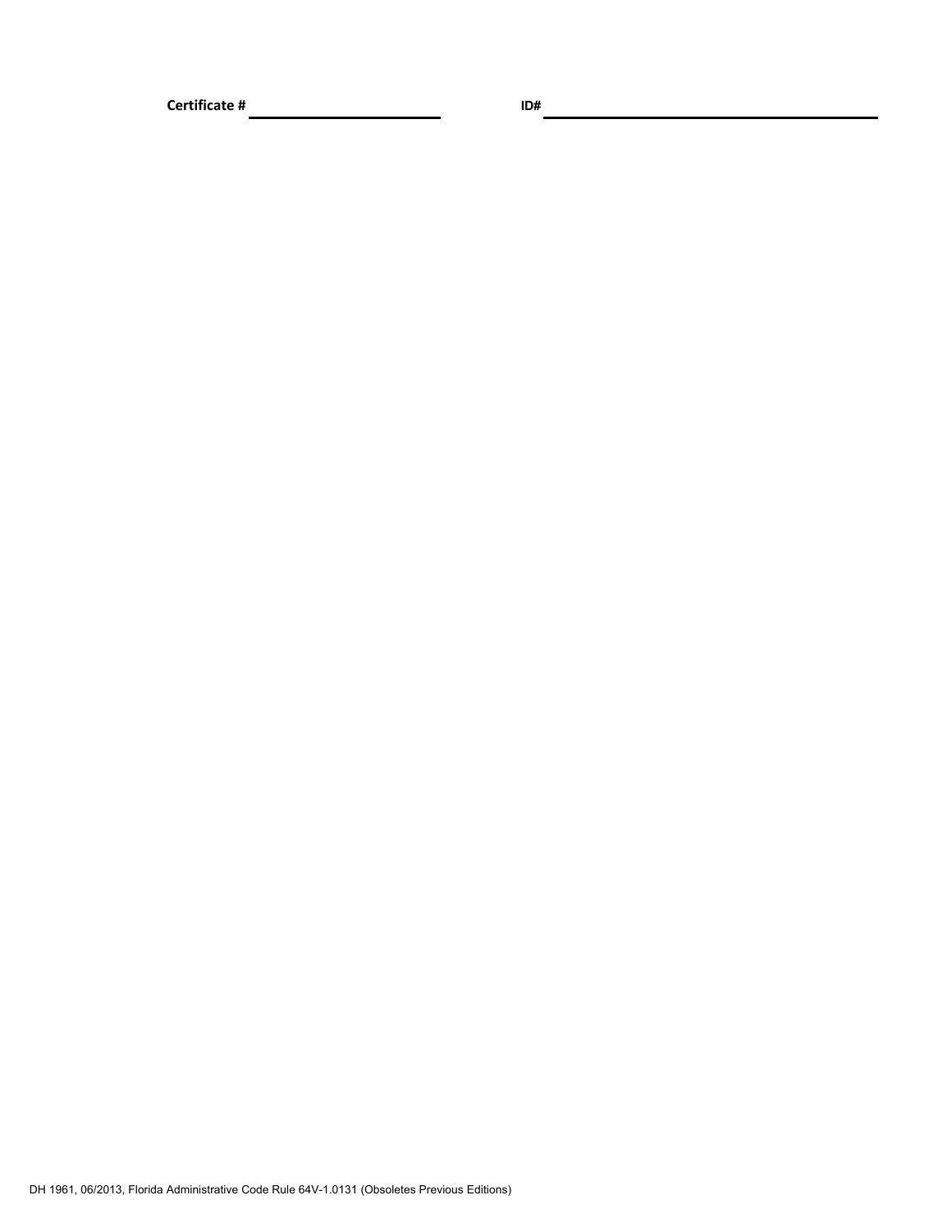**Certificate # ID#**